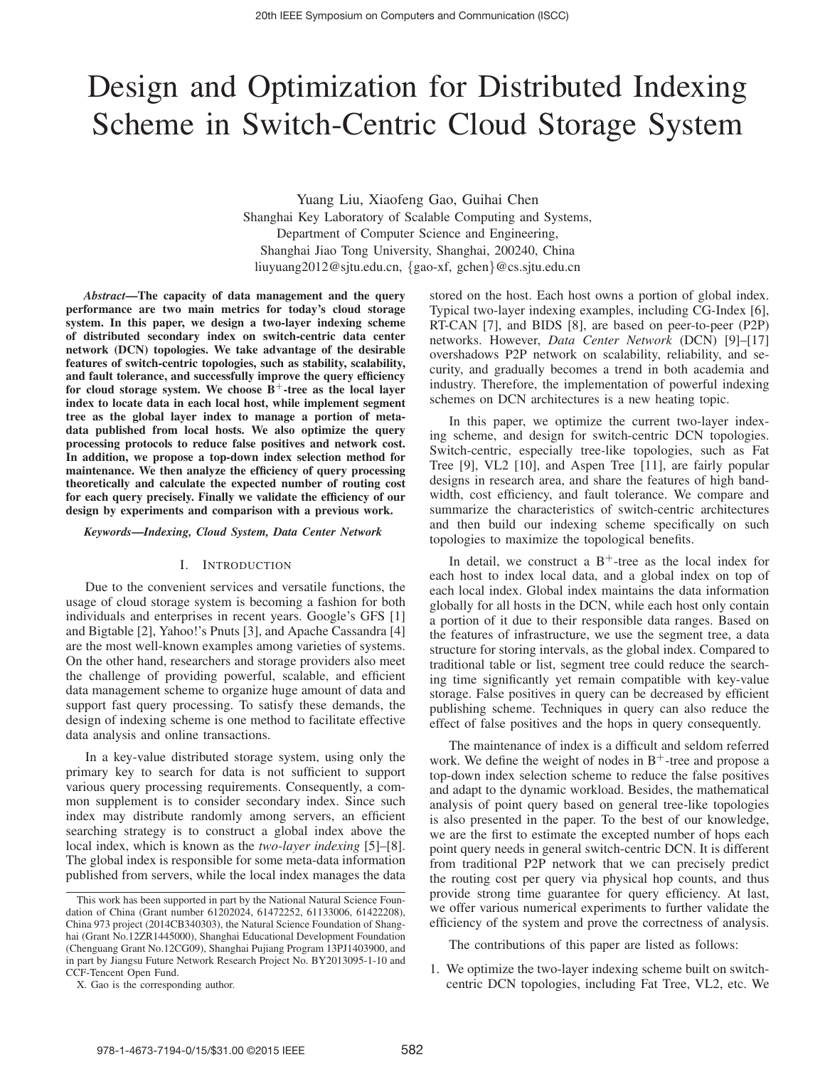# Design and Optimization for Distributed Indexing Scheme in Switch-Centric Cloud Storage System

Yuang Liu, Xiaofeng Gao, Guihai Chen Shanghai Key Laboratory of Scalable Computing and Systems, Department of Computer Science and Engineering, Shanghai Jiao Tong University, Shanghai, 200240, China liuyuang2012@sjtu.edu.cn, {gao-xf, gchen}@cs.sjtu.edu.cn

*Abstract*—The capacity of data management and the query performance are two main metrics for today's cloud storage system. In this paper, we design a two-layer indexing scheme of distributed secondary index on switch-centric data center network (DCN) topologies. We take advantage of the desirable features of switch-centric topologies, such as stability, scalability, and fault tolerance, and successfully improve the query efficiency for cloud storage system. We choose  $B^+$ -tree as the local layer index to locate data in each local host, while implement segment tree as the global layer index to manage a portion of metadata published from local hosts. We also optimize the query processing protocols to reduce false positives and network cost. In addition, we propose a top-down index selection method for maintenance. We then analyze the efficiency of query processing theoretically and calculate the expected number of routing cost for each query precisely. Finally we validate the efficiency of our design by experiments and comparison with a previous work.

*Keywords*—*Indexing, Cloud System, Data Center Network*

## I. INTRODUCTION

Due to the convenient services and versatile functions, the usage of cloud storage system is becoming a fashion for both individuals and enterprises in recent years. Google's GFS [1] and Bigtable [2], Yahoo!'s Pnuts [3], and Apache Cassandra [4] are the most well-known examples among varieties of systems. On the other hand, researchers and storage providers also meet the challenge of providing powerful, scalable, and efficient data management scheme to organize huge amount of data and support fast query processing. To satisfy these demands, the design of indexing scheme is one method to facilitate effective data analysis and online transactions.

In a key-value distributed storage system, using only the primary key to search for data is not sufficient to support various query processing requirements. Consequently, a common supplement is to consider secondary index. Since such index may distribute randomly among servers, an efficient searching strategy is to construct a global index above the local index, which is known as the *two-layer indexing* [5]–[8]. The global index is responsible for some meta-data information published from servers, while the local index manages the data stored on the host. Each host owns a portion of global index. Typical two-layer indexing examples, including CG-Index [6], RT-CAN [7], and BIDS [8], are based on peer-to-peer (P2P) networks. However, *Data Center Network* (DCN) [9]–[17] overshadows P2P network on scalability, reliability, and security, and gradually becomes a trend in both academia and industry. Therefore, the implementation of powerful indexing schemes on DCN architectures is a new heating topic.

In this paper, we optimize the current two-layer indexing scheme, and design for switch-centric DCN topologies. Switch-centric, especially tree-like topologies, such as Fat Tree [9], VL2 [10], and Aspen Tree [11], are fairly popular designs in research area, and share the features of high bandwidth, cost efficiency, and fault tolerance. We compare and summarize the characteristics of switch-centric architectures and then build our indexing scheme specifically on such topologies to maximize the topological benefits.

In detail, we construct a  $B^+$ -tree as the local index for each host to index local data, and a global index on top of each local index. Global index maintains the data information globally for all hosts in the DCN, while each host only contain a portion of it due to their responsible data ranges. Based on the features of infrastructure, we use the segment tree, a data structure for storing intervals, as the global index. Compared to traditional table or list, segment tree could reduce the searching time significantly yet remain compatible with key-value storage. False positives in query can be decreased by efficient publishing scheme. Techniques in query can also reduce the effect of false positives and the hops in query consequently.

The maintenance of index is a difficult and seldom referred work. We define the weight of nodes in  $B^+$ -tree and propose a top-down index selection scheme to reduce the false positives and adapt to the dynamic workload. Besides, the mathematical analysis of point query based on general tree-like topologies is also presented in the paper. To the best of our knowledge, we are the first to estimate the excepted number of hops each point query needs in general switch-centric DCN. It is different from traditional P2P network that we can precisely predict the routing cost per query via physical hop counts, and thus provide strong time guarantee for query efficiency. At last, we offer various numerical experiments to further validate the efficiency of the system and prove the correctness of analysis.

The contributions of this paper are listed as follows:

1. We optimize the two-layer indexing scheme built on switchcentric DCN topologies, including Fat Tree, VL2, etc. We

This work has been supported in part by the National Natural Science Foundation of China (Grant number 61202024, 61472252, 61133006, 61422208), China 973 project (2014CB340303), the Natural Science Foundation of Shanghai (Grant No.12ZR1445000), Shanghai Educational Development Foundation (Chenguang Grant No.12CG09), Shanghai Pujiang Program 13PJ1403900, and in part by Jiangsu Future Network Research Project No. BY2013095-1-10 and CCF-Tencent Open Fund.

X. Gao is the corresponding author.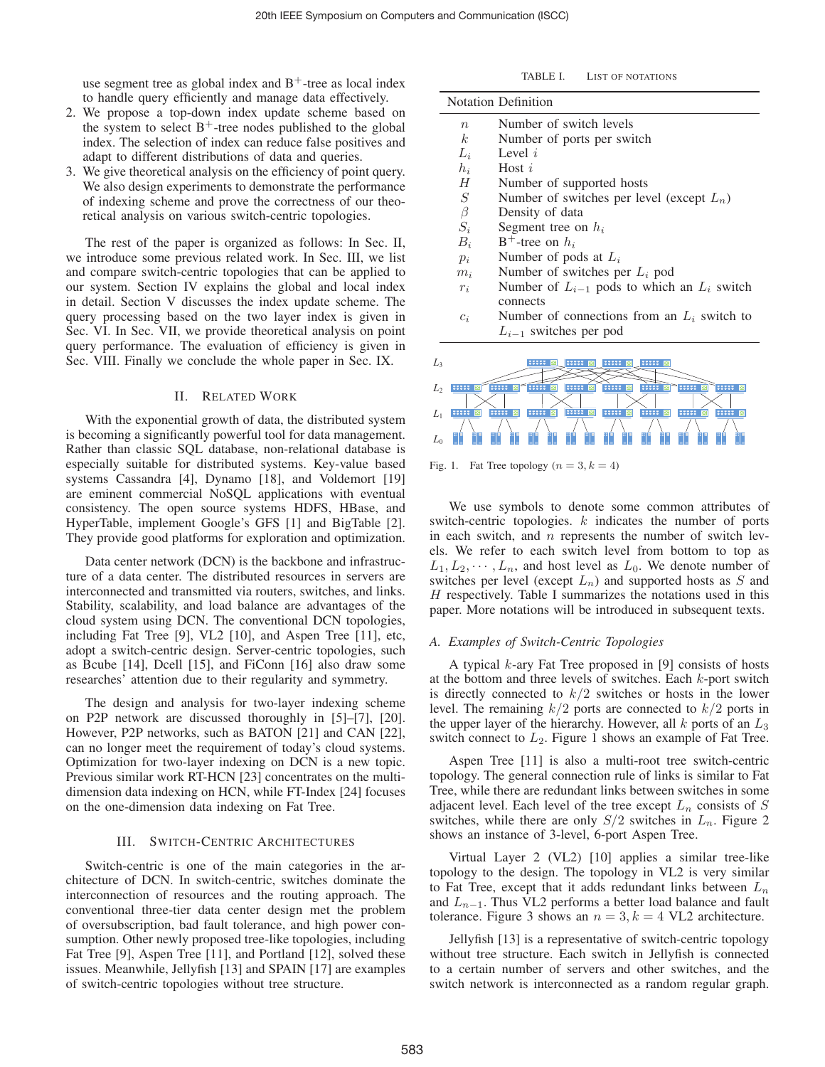use segment tree as global index and  $B^+$ -tree as local index to handle query efficiently and manage data effectively.

- 2. We propose a top-down index update scheme based on the system to select  $B^+$ -tree nodes published to the global index. The selection of index can reduce false positives and adapt to different distributions of data and queries.
- 3. We give theoretical analysis on the efficiency of point query. We also design experiments to demonstrate the performance of indexing scheme and prove the correctness of our theoretical analysis on various switch-centric topologies.

The rest of the paper is organized as follows: In Sec. II, we introduce some previous related work. In Sec. III, we list and compare switch-centric topologies that can be applied to our system. Section IV explains the global and local index in detail. Section V discusses the index update scheme. The query processing based on the two layer index is given in Sec. VI. In Sec. VII, we provide theoretical analysis on point query performance. The evaluation of efficiency is given in Sec. VIII. Finally we conclude the whole paper in Sec. IX.

#### II. RELATED WORK

With the exponential growth of data, the distributed system is becoming a significantly powerful tool for data management. Rather than classic SQL database, non-relational database is especially suitable for distributed systems. Key-value based systems Cassandra [4], Dynamo [18], and Voldemort [19] are eminent commercial NoSQL applications with eventual consistency. The open source systems HDFS, HBase, and HyperTable, implement Google's GFS [1] and BigTable [2]. They provide good platforms for exploration and optimization.

Data center network (DCN) is the backbone and infrastructure of a data center. The distributed resources in servers are interconnected and transmitted via routers, switches, and links. Stability, scalability, and load balance are advantages of the cloud system using DCN. The conventional DCN topologies, including Fat Tree [9], VL2 [10], and Aspen Tree [11], etc, adopt a switch-centric design. Server-centric topologies, such as Bcube [14], Dcell [15], and FiConn [16] also draw some researches' attention due to their regularity and symmetry.

The design and analysis for two-layer indexing scheme on P2P network are discussed thoroughly in [5]–[7], [20]. However, P2P networks, such as BATON [21] and CAN [22], can no longer meet the requirement of today's cloud systems. Optimization for two-layer indexing on DCN is a new topic. Previous similar work RT-HCN [23] concentrates on the multidimension data indexing on HCN, while FT-Index [24] focuses on the one-dimension data indexing on Fat Tree.

## III. SWITCH-CENTRIC ARCHITECTURES

Switch-centric is one of the main categories in the architecture of DCN. In switch-centric, switches dominate the interconnection of resources and the routing approach. The conventional three-tier data center design met the problem of oversubscription, bad fault tolerance, and high power consumption. Other newly proposed tree-like topologies, including Fat Tree [9], Aspen Tree [11], and Portland [12], solved these issues. Meanwhile, Jellyfish [13] and SPAIN [17] are examples of switch-centric topologies without tree structure.

TABLE I. LIST OF NOTATIONS

|                  | <b>Notation Definition</b>                        |
|------------------|---------------------------------------------------|
| $\boldsymbol{n}$ | Number of switch levels                           |
| k <sub>i</sub>   | Number of ports per switch                        |
| $L_i$            | Level $i$                                         |
| $h_i$            | Host $i$                                          |
| Н                | Number of supported hosts                         |
| $S_{-}$          | Number of switches per level (except $L_n$ )      |
| $\beta$          | Density of data                                   |
| $S_i$            | Segment tree on $h_i$                             |
| $B_i$            | $B^+$ -tree on $h_i$                              |
| $p_i$            | Number of pods at $L_i$                           |
| $m_i$            | Number of switches per $L_i$ pod                  |
| $r_i$            | Number of $L_{i-1}$ pods to which an $L_i$ switch |
|                  | connects                                          |
| $c_i$            | Number of connections from an $L_i$ switch to     |
|                  | $L_{i-1}$ switches per pod                        |



Fig. 1. Fat Tree topology  $(n = 3, k = 4)$ 

We use symbols to denote some common attributes of switch-centric topologies. k indicates the number of ports in each switch, and  $n$  represents the number of switch levels. We refer to each switch level from bottom to top as  $L_1, L_2, \dots, L_n$ , and host level as  $L_0$ . We denote number of switches per level (except  $L_n$ ) and supported hosts as S and  $H$  respectively. Table I summarizes the notations used in this paper. More notations will be introduced in subsequent texts.

#### *A. Examples of Switch-Centric Topologies*

A typical k-ary Fat Tree proposed in [9] consists of hosts at the bottom and three levels of switches. Each  $k$ -port switch is directly connected to  $k/2$  switches or hosts in the lower level. The remaining  $k/2$  ports are connected to  $k/2$  ports in the upper layer of the hierarchy. However, all  $k$  ports of an  $L_3$ switch connect to  $L_2$ . Figure 1 shows an example of Fat Tree.

Aspen Tree [11] is also a multi-root tree switch-centric topology. The general connection rule of links is similar to Fat Tree, while there are redundant links between switches in some adjacent level. Each level of the tree except  $L_n$  consists of S switches, while there are only  $S/2$  switches in  $L_n$ . Figure 2 shows an instance of 3-level, 6-port Aspen Tree.

Virtual Layer 2 (VL2) [10] applies a similar tree-like topology to the design. The topology in VL2 is very similar to Fat Tree, except that it adds redundant links between  $L_n$ and  $L_{n-1}$ . Thus VL2 performs a better load balance and fault tolerance. Figure 3 shows an  $n = 3, k = 4$  VL2 architecture.

Jellyfish [13] is a representative of switch-centric topology without tree structure. Each switch in Jellyfish is connected to a certain number of servers and other switches, and the switch network is interconnected as a random regular graph.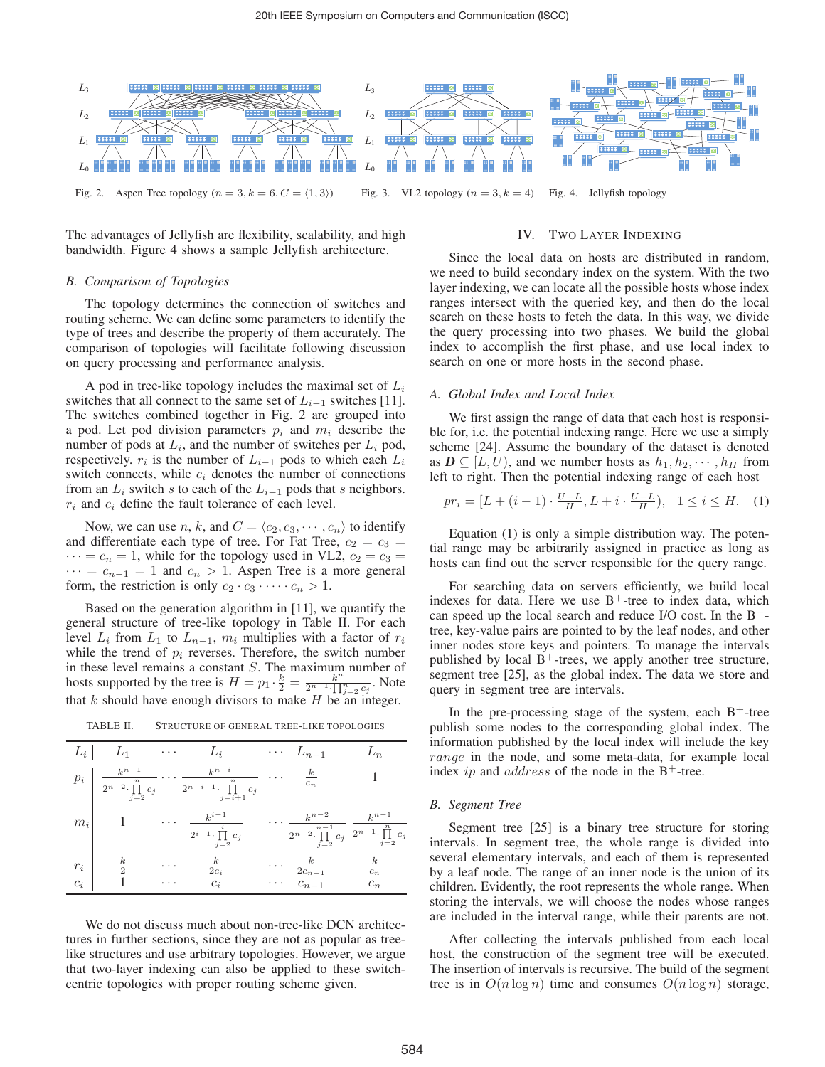

Fig. 2. Aspen Tree topology  $(n = 3, k = 6, C = \langle 1, 3 \rangle)$ Fig. 3. VL2 topology ( $n = 3, k = 4$ ) Fig. 4. Jellyfish topology

The advantages of Jellyfish are flexibility, scalability, and high bandwidth. Figure 4 shows a sample Jellyfish architecture.

## *B. Comparison of Topologies*

The topology determines the connection of switches and routing scheme. We can define some parameters to identify the type of trees and describe the property of them accurately. The comparison of topologies will facilitate following discussion on query processing and performance analysis.

A pod in tree-like topology includes the maximal set of  $L_i$ switches that all connect to the same set of  $L_{i-1}$  switches [11]. The switches combined together in Fig. 2 are grouped into a pod. Let pod division parameters  $p_i$  and  $m_i$  describe the number of pods at  $L_i$ , and the number of switches per  $L_i$  pod, respectively.  $r_i$  is the number of  $L_{i-1}$  pods to which each  $L_i$ switch connects, while  $c_i$  denotes the number of connections from an  $L_i$  switch s to each of the  $L_{i-1}$  pods that s neighbors.  $r_i$  and  $c_i$  define the fault tolerance of each level.

Now, we can use *n*, *k*, and  $C = \langle c_2, c_3, \dots, c_n \rangle$  to identify differentiate each type of tree. For Fat Tree,  $c_2 = c_2$ and differentiate each type of tree. For Fat Tree,  $c_2 = c_3$  =  $\cdots = c_n = 1$ , while for the topology used in VL2,  $c_2 = c_3 =$  $\cdots = c_{n-1} = 1$  and  $c_n > 1$ . Aspen Tree is a more general form, the restriction is only  $c_2 \cdot c_3 \cdot \cdots \cdot c_n > 1$ .

Based on the generation algorithm in [11], we quantify the general structure of tree-like topology in Table II. For each level  $L_i$  from  $L_1$  to  $L_{n-1}$ ,  $m_i$  multiplies with a factor of  $r_i$ while the trend of  $p_i$  reverses. Therefore, the switch number in these level remains a constant S. The maximum number of hosts supported by the tree is  $H = p_1 \cdot \frac{k}{2} = \frac{k^n}{2^{n-1} \cdot \prod_{j=2}^n c_j}$ . Note that k should have enough divisors to make  $H$  be an integer.

| $L_i$          | $L_1$                                                                                   | $\cdots$      | $\mathcal{L}_i$                                                            |                      | $\cdots$ $L_{n-1}$                                         | $\sqrt{n}$                                                    |
|----------------|-----------------------------------------------------------------------------------------|---------------|----------------------------------------------------------------------------|----------------------|------------------------------------------------------------|---------------------------------------------------------------|
| $p_i$          | $\boldsymbol{k}^{n-1}$<br>$\boldsymbol{n}$<br>$2^{n-2} \cdot \prod$<br>$c_i$<br>$j = 2$ |               | $k^{n-i}$<br>$\it n$<br>$2^{n-i-1}$ .<br>$c_i$<br>$j = i + 1$              |                      | $\boldsymbol{k}$<br>$c_n$                                  |                                                               |
| $m_i$          |                                                                                         | .             | $k^{i-1}$<br>$\overline{\mathbf{a}}$<br>$2^{i-1} \cdot \prod c_i$<br>$j=2$ |                      | $k^{n-2}$<br>$n-1$<br>$2^{n-2} \cdot \prod c_j$<br>$j = 2$ | $k^{n-1}$<br>$\,n$<br>$2^{n-1} \cdot \prod$<br>$c_j$<br>$j=2$ |
| $r_i$<br>$c_i$ | $rac{k}{2}$                                                                             | $\cdots$<br>. | $\overline{2c_i}$<br>$c_i$                                                 | $\cdots$<br>$\cdots$ | $\overline{2c_{n-1}}$<br>$c_{n-1}$                         | $\kappa$<br>$c_n$<br>$\overline{c_n}$                         |

TABLE II. STRUCTURE OF GENERAL TREE-LIKE TOPOLOGIES

We do not discuss much about non-tree-like DCN architectures in further sections, since they are not as popular as treelike structures and use arbitrary topologies. However, we argue that two-layer indexing can also be applied to these switchcentric topologies with proper routing scheme given.

## IV. TWO LAYER INDEXING

Since the local data on hosts are distributed in random, we need to build secondary index on the system. With the two layer indexing, we can locate all the possible hosts whose index ranges intersect with the queried key, and then do the local search on these hosts to fetch the data. In this way, we divide the query processing into two phases. We build the global index to accomplish the first phase, and use local index to search on one or more hosts in the second phase.

#### *A. Global Index and Local Index*

We first assign the range of data that each host is responsible for, i.e. the potential indexing range. Here we use a simply scheme [24]. Assume the boundary of the dataset is denoted as  $D \subseteq [L, U)$ , and we number hosts as  $h_1, h_2, \dots, h_H$  from left to right. Then the potential indexing range of each host

$$
pr_i = [L + (i - 1) \cdot \frac{U - L}{H}, L + i \cdot \frac{U - L}{H}), \quad 1 \le i \le H. \tag{1}
$$

Equation (1) is only a simple distribution way. The potential range may be arbitrarily assigned in practice as long as hosts can find out the server responsible for the query range.

For searching data on servers efficiently, we build local indexes for data. Here we use  $B^+$ -tree to index data, which can speed up the local search and reduce I/O cost. In the  $B^+$ tree, key-value pairs are pointed to by the leaf nodes, and other inner nodes store keys and pointers. To manage the intervals published by local  $B^+$ -trees, we apply another tree structure, segment tree [25], as the global index. The data we store and query in segment tree are intervals.

In the pre-processing stage of the system, each  $B^+$ -tree publish some nodes to the corresponding global index. The information published by the local index will include the key range in the node, and some meta-data, for example local index ip and *address* of the node in the  $B^+$ -tree.

#### *B. Segment Tree*

Segment tree [25] is a binary tree structure for storing intervals. In segment tree, the whole range is divided into several elementary intervals, and each of them is represented by a leaf node. The range of an inner node is the union of its children. Evidently, the root represents the whole range. When storing the intervals, we will choose the nodes whose ranges are included in the interval range, while their parents are not.

After collecting the intervals published from each local host, the construction of the segment tree will be executed. The insertion of intervals is recursive. The build of the segment tree is in  $O(n \log n)$  time and consumes  $O(n \log n)$  storage,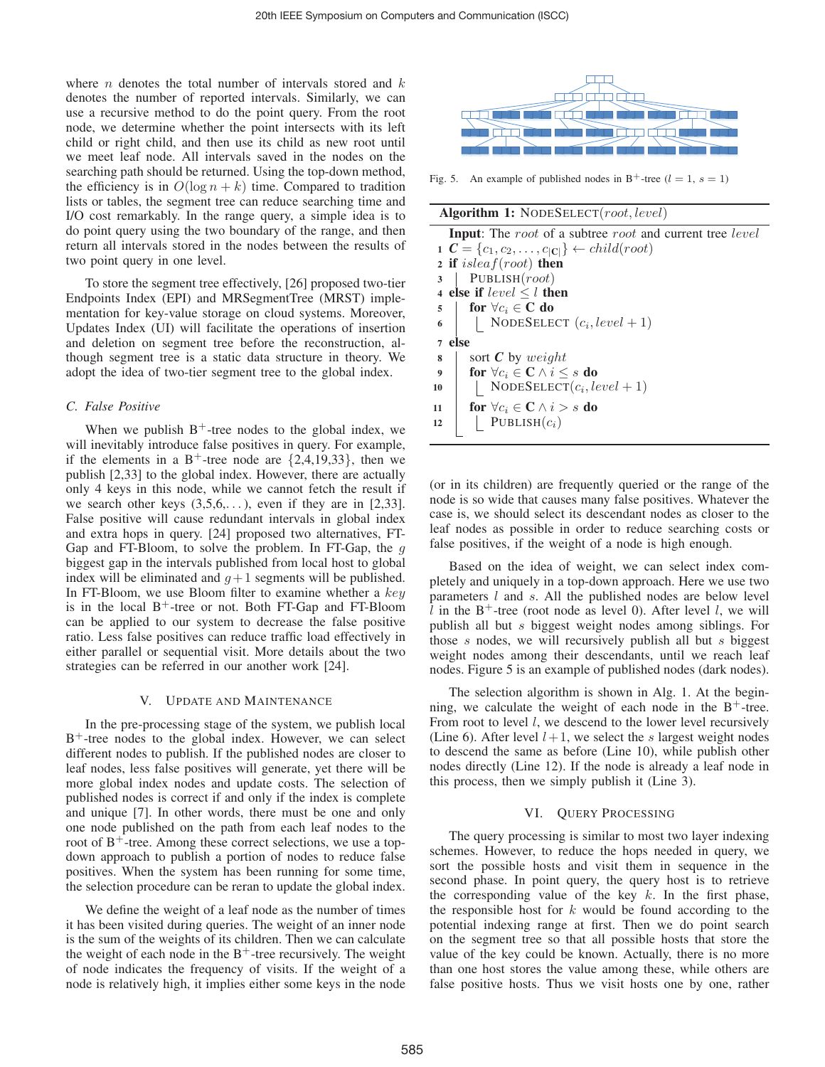where  $n$  denotes the total number of intervals stored and  $k$ denotes the number of reported intervals. Similarly, we can use a recursive method to do the point query. From the root node, we determine whether the point intersects with its left child or right child, and then use its child as new root until we meet leaf node. All intervals saved in the nodes on the searching path should be returned. Using the top-down method, the efficiency is in  $O(\log n + k)$  time. Compared to tradition lists or tables, the segment tree can reduce searching time and I/O cost remarkably. In the range query, a simple idea is to do point query using the two boundary of the range, and then return all intervals stored in the nodes between the results of two point query in one level.

To store the segment tree effectively, [26] proposed two-tier Endpoints Index (EPI) and MRSegmentTree (MRST) implementation for key-value storage on cloud systems. Moreover, Updates Index (UI) will facilitate the operations of insertion and deletion on segment tree before the reconstruction, although segment tree is a static data structure in theory. We adopt the idea of two-tier segment tree to the global index.

## *C. False Positive*

When we publish  $B^+$ -tree nodes to the global index, we will inevitably introduce false positives in query. For example, if the elements in a B<sup>+</sup>-tree node are  $\{2,4,19,33\}$ , then we publish [2,33] to the global index. However, there are actually only 4 keys in this node, while we cannot fetch the result if we search other keys  $(3,5,6,...)$ , even if they are in [2,33]. False positive will cause redundant intervals in global index and extra hops in query. [24] proposed two alternatives, FT-Gap and FT-Bloom, to solve the problem. In FT-Gap, the  $g$ biggest gap in the intervals published from local host to global index will be eliminated and  $g+1$  segments will be published. In FT-Bloom, we use Bloom filter to examine whether a  $key$ is in the local  $B^+$ -tree or not. Both FT-Gap and FT-Bloom can be applied to our system to decrease the false positive ratio. Less false positives can reduce traffic load effectively in either parallel or sequential visit. More details about the two strategies can be referred in our another work [24].

#### V. UPDATE AND MAINTENANCE

In the pre-processing stage of the system, we publish local  $B<sup>+</sup>$ -tree nodes to the global index. However, we can select different nodes to publish. If the published nodes are closer to leaf nodes, less false positives will generate, yet there will be more global index nodes and update costs. The selection of published nodes is correct if and only if the index is complete and unique [7]. In other words, there must be one and only one node published on the path from each leaf nodes to the root of  $B^+$ -tree. Among these correct selections, we use a topdown approach to publish a portion of nodes to reduce false positives. When the system has been running for some time, the selection procedure can be reran to update the global index.

We define the weight of a leaf node as the number of times it has been visited during queries. The weight of an inner node is the sum of the weights of its children. Then we can calculate the weight of each node in the  $B<sup>+</sup>$ -tree recursively. The weight of node indicates the frequency of visits. If the weight of a node is relatively high, it implies either some keys in the node



Fig. 5. An example of published nodes in B<sup>+</sup>-tree ( $l = 1$ ,  $s = 1$ )

|  |  |  |  | Algorithm 1: NODESELECT(root, level)                                                                                                                                                                                                                                                                                                                                                                                                                         |  |  |
|--|--|--|--|--------------------------------------------------------------------------------------------------------------------------------------------------------------------------------------------------------------------------------------------------------------------------------------------------------------------------------------------------------------------------------------------------------------------------------------------------------------|--|--|
|  |  |  |  | $\mathcal{L} = \mathcal{L} = \mathcal{L} = \mathcal{L} = \mathcal{L} = \mathcal{L} = \mathcal{L} = \mathcal{L} = \mathcal{L} = \mathcal{L} = \mathcal{L} = \mathcal{L} = \mathcal{L} = \mathcal{L} = \mathcal{L} = \mathcal{L} = \mathcal{L} = \mathcal{L} = \mathcal{L} = \mathcal{L} = \mathcal{L} = \mathcal{L} = \mathcal{L} = \mathcal{L} = \mathcal{L} = \mathcal{L} = \mathcal{L} = \mathcal{L} = \mathcal{L} = \mathcal{L} = \mathcal{L} = \mathcal$ |  |  |

| <b>Input:</b> The root of a subtree root and current tree level             |
|-----------------------------------------------------------------------------|
| $\mathbf{C} = \{c_1, c_2, \ldots, c_{ \mathbf{C} }\}\leftarrow child(root)$ |
| 2 if $isleaf(root)$ then                                                    |
| PUBLISH $(root)$<br>3                                                       |
| 4 else if $level \leq l$ then                                               |
| for $\forall c_i \in \mathbf{C}$ do<br>5                                    |
| NODESELECT $(c_i, level + 1)$<br>6                                          |
| else<br>$\overline{7}$                                                      |
| sort $C$ by weight<br>8                                                     |
| for $\forall c_i \in \mathbf{C} \land i \leq s$ do<br>$\boldsymbol{9}$      |
| NODESELECT $(c_i, level + 1)$<br>10                                         |
| for $\forall c_i \in \mathbb{C} \wedge i > s$ do<br>11                      |
| PUBLISH $(c_i)$<br>12                                                       |
|                                                                             |

(or in its children) are frequently queried or the range of the node is so wide that causes many false positives. Whatever the case is, we should select its descendant nodes as closer to the leaf nodes as possible in order to reduce searching costs or false positives, if the weight of a node is high enough.

Based on the idea of weight, we can select index completely and uniquely in a top-down approach. Here we use two parameters  $l$  and  $s$ . All the published nodes are below level l in the  $B^+$ -tree (root node as level 0). After level l, we will publish all but s biggest weight nodes among siblings. For those s nodes, we will recursively publish all but s biggest weight nodes among their descendants, until we reach leaf nodes. Figure 5 is an example of published nodes (dark nodes).

The selection algorithm is shown in Alg. 1. At the beginning, we calculate the weight of each node in the  $B^+$ -tree. From root to level *l*, we descend to the lower level recursively (Line 6). After level  $l+1$ , we select the s largest weight nodes to descend the same as before (Line 10), while publish other nodes directly (Line 12). If the node is already a leaf node in this process, then we simply publish it (Line 3).

## VI. QUERY PROCESSING

The query processing is similar to most two layer indexing schemes. However, to reduce the hops needed in query, we sort the possible hosts and visit them in sequence in the second phase. In point query, the query host is to retrieve the corresponding value of the key  $k$ . In the first phase, the responsible host for  $k$  would be found according to the potential indexing range at first. Then we do point search on the segment tree so that all possible hosts that store the value of the key could be known. Actually, there is no more than one host stores the value among these, while others are false positive hosts. Thus we visit hosts one by one, rather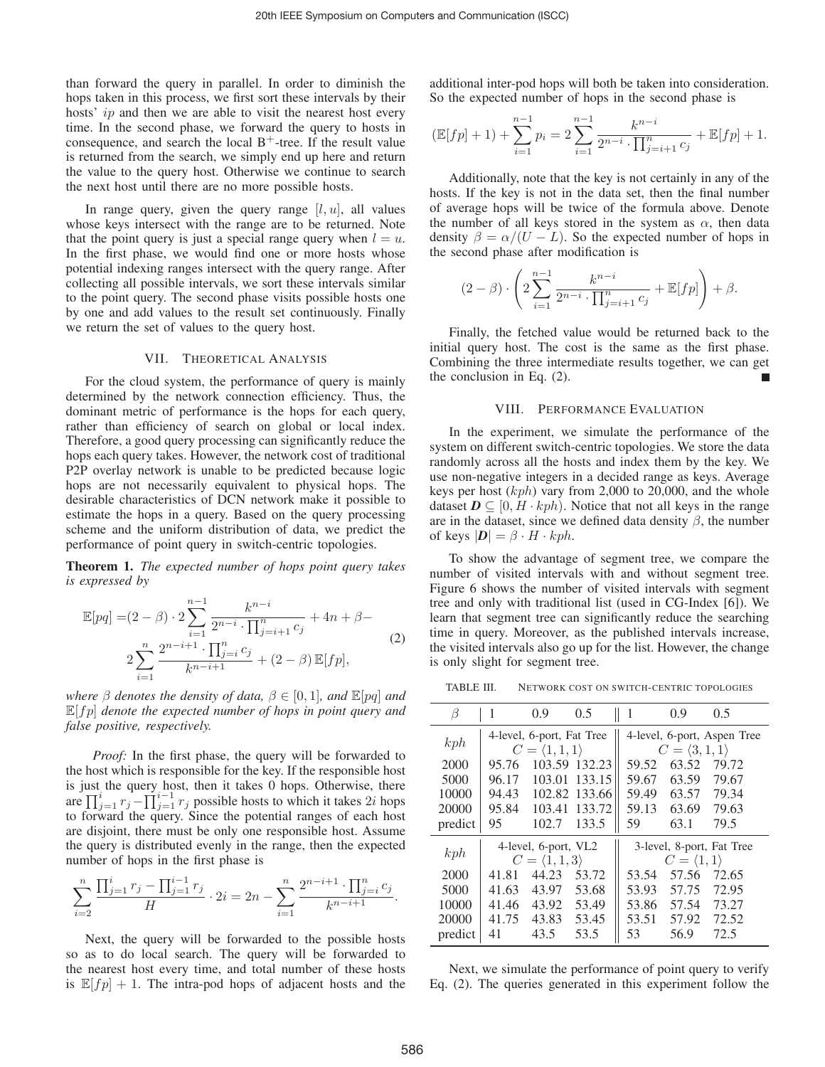than forward the query in parallel. In order to diminish the hops taken in this process, we first sort these intervals by their hosts' *ip* and then we are able to visit the nearest host every time. In the second phase, we forward the query to hosts in consequence, and search the local  $B^+$ -tree. If the result value is returned from the search, we simply end up here and return the value to the query host. Otherwise we continue to search the next host until there are no more possible hosts.

In range query, given the query range  $[l, u]$ , all values whose keys intersect with the range are to be returned. Note that the point query is just a special range query when  $l = u$ . In the first phase, we would find one or more hosts whose potential indexing ranges intersect with the query range. After collecting all possible intervals, we sort these intervals similar to the point query. The second phase visits possible hosts one by one and add values to the result set continuously. Finally we return the set of values to the query host.

#### VII. THEORETICAL ANALYSIS

For the cloud system, the performance of query is mainly determined by the network connection efficiency. Thus, the dominant metric of performance is the hops for each query, rather than efficiency of search on global or local index. Therefore, a good query processing can significantly reduce the hops each query takes. However, the network cost of traditional P2P overlay network is unable to be predicted because logic hops are not necessarily equivalent to physical hops. The desirable characteristics of DCN network make it possible to estimate the hops in a query. Based on the query processing scheme and the uniform distribution of data, we predict the performance of point query in switch-centric topologies.

Theorem 1. *The expected number of hops point query takes is expressed by*

$$
\mathbb{E}[pq] = (2 - \beta) \cdot 2 \sum_{i=1}^{n-1} \frac{k^{n-i}}{2^{n-i} \cdot \prod_{j=i+1}^{n} c_j} + 4n + \beta -
$$
  

$$
2 \sum_{i=1}^{n} \frac{2^{n-i+1} \cdot \prod_{j=i}^{n} c_j}{k^{n-i+1}} + (2 - \beta) \mathbb{E}[fp],
$$
 (2)

*where*  $\beta$  *denotes the density of data,*  $\beta \in [0, 1]$ *, and*  $\mathbb{E}[pq]$  *and*  $\mathbb{E}[fp]$  *denote the expected number of hops in point query and false positive, respectively.*

*Proof:* In the first phase, the query will be forwarded to the host which is responsible for the key. If the responsible host is just the query host, then it takes 0 hops. Otherwise, there are  $\prod_{j=1}^{i} r_j - \prod_{j=1}^{i-1} r_j$  possible hosts to which it takes 2*i* hops<br>to forward the query. Since the potential ranges of each host to forward the query. Since the potential ranges of each host are disjoint, there must be only one responsible host. Assume the query is distributed evenly in the range, then the expected number of hops in the first phase is

$$
\sum_{i=2}^{n} \frac{\prod_{j=1}^{i} r_j - \prod_{j=1}^{i-1} r_j}{H} \cdot 2i = 2n - \sum_{i=1}^{n} \frac{2^{n-i+1} \cdot \prod_{j=i}^{n} c_j}{k^{n-i+1}}.
$$

Next, the query will be forwarded to the possible hosts so as to do local search. The query will be forwarded to the nearest host every time, and total number of these hosts is  $\mathbb{E}[fp]+1$ . The intra-pod hops of adjacent hosts and the additional inter-pod hops will both be taken into consideration. So the expected number of hops in the second phase is

$$
(\mathbb{E}[fp] + 1) + \sum_{i=1}^{n-1} p_i = 2 \sum_{i=1}^{n-1} \frac{k^{n-i}}{2^{n-i} \cdot \prod_{j=i+1}^{n} c_j} + \mathbb{E}[fp] + 1.
$$

Additionally, note that the key is not certainly in any of the hosts. If the key is not in the data set, then the final number of average hops will be twice of the formula above. Denote the number of all keys stored in the system as  $\alpha$ , then data density  $\beta = \alpha/(U - L)$ . So the expected number of hops in the second phase after modification is

$$
(2 - \beta) \cdot \left( 2 \sum_{i=1}^{n-1} \frac{k^{n-i}}{2^{n-i} \cdot \prod_{j=i+1}^{n} c_j} + \mathbb{E}[fp] \right) + \beta.
$$

Finally, the fetched value would be returned back to the initial query host. The cost is the same as the first phase. Combining the three intermediate results together, we can get the conclusion in Eq. (2).

## VIII. PERFORMANCE EVALUATION

In the experiment, we simulate the performance of the system on different switch-centric topologies. We store the data randomly across all the hosts and index them by the key. We use non-negative integers in a decided range as keys. Average keys per host  $(kph)$  vary from 2,000 to 20,000, and the whole dataset  $\mathbf{D} \subseteq [0, H \cdot kph)$ . Notice that not all keys in the range are in the dataset, since we defined data density  $\beta$ , the number of keys  $|\mathbf{D}| = \beta \cdot H \cdot kph$ .

To show the advantage of segment tree, we compare the number of visited intervals with and without segment tree. Figure 6 shows the number of visited intervals with segment tree and only with traditional list (used in CG-Index [6]). We learn that segment tree can significantly reduce the searching time in query. Moreover, as the published intervals increase, the visited intervals also go up for the list. However, the change is only slight for segment tree.

TABLE III. NETWORK COST ON SWITCH-CENTRIC TOPOLOGIES

| B       | 1     | 0.9                                                        | 0.5           | 1                                                            | 0.9   | 0.5   |  |
|---------|-------|------------------------------------------------------------|---------------|--------------------------------------------------------------|-------|-------|--|
| kph     |       | 4-level, 6-port, Fat Tree<br>$C = \langle 1, 1, 1 \rangle$ |               | 4-level, 6-port, Aspen Tree<br>$C = \langle 3, 1, 1 \rangle$ |       |       |  |
| 2000    | 95.76 |                                                            | 103.59 132.23 | 59.52                                                        | 63.52 | 79.72 |  |
| 5000    | 96.17 | 103.01                                                     | 133.15        | 59.67                                                        | 63.59 | 79.67 |  |
| 10000   | 94.43 |                                                            | 102.82 133.66 | 59.49                                                        | 63.57 | 79.34 |  |
| 20000   | 95.84 | 103.41                                                     | 133.72        | 59.13                                                        | 63.69 | 79.63 |  |
| predict | 95    | 102.7                                                      | 133.5         | 59                                                           | 63.1  | 79.5  |  |
|         |       | 4-level, 6-port, VL2                                       |               | 3-level, 8-port, Fat Tree                                    |       |       |  |
| kph     |       | $C = \langle 1, 1, 3 \rangle$                              |               | $C = \langle 1, 1 \rangle$                                   |       |       |  |
| 2000    | 41.81 | 44.23                                                      | 53.72         | 53.54                                                        | 57.56 | 72.65 |  |
| 5000    | 41.63 | 43.97                                                      | 53.68         | 53.93                                                        | 57.75 | 72.95 |  |
| 10000   | 41.46 | 43.92                                                      | 53.49         | 53.86                                                        | 57.54 | 73.27 |  |
| 20000   | 41.75 | 43.83                                                      | 53.45         | 53.51                                                        | 57.92 | 72.52 |  |
| predict | 41    | 43.5                                                       | 53.5          | 53                                                           | 56.9  | 72.5  |  |

Next, we simulate the performance of point query to verify Eq. (2). The queries generated in this experiment follow the